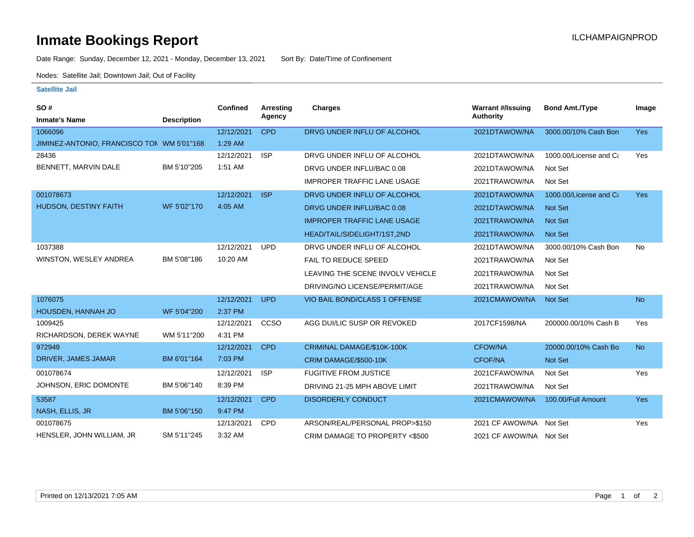## **Inmate Bookings Report Installation ILCHAMPAIGNPROD**

Date Range: Sunday, December 12, 2021 - Monday, December 13, 2021 Sort By: Date/Time of Confinement

Nodes: Satellite Jail; Downtown Jail; Out of Facility

## **Satellite Jail**

| SO#                                        |                    | Confined   | <b>Arresting</b> | <b>Charges</b>                     | <b>Warrant #/Issuing</b> | <b>Bond Amt./Type</b>  | Image      |
|--------------------------------------------|--------------------|------------|------------------|------------------------------------|--------------------------|------------------------|------------|
| <b>Inmate's Name</b>                       | <b>Description</b> |            | Agency           |                                    | Authority                |                        |            |
| 1066096                                    |                    | 12/12/2021 | <b>CPD</b>       | DRVG UNDER INFLU OF ALCOHOL        | 2021DTAWOW/NA            | 3000.00/10% Cash Bon   | <b>Yes</b> |
| JIMINEZ-ANTONIO, FRANCISCO TON WM 5'01"168 |                    | 1:29 AM    |                  |                                    |                          |                        |            |
| 28436                                      |                    | 12/12/2021 | <b>ISP</b>       | DRVG UNDER INFLU OF ALCOHOL        | 2021DTAWOW/NA            | 1000.00/License and Ca | Yes        |
| BENNETT, MARVIN DALE                       | BM 5'10"205        | 1:51 AM    |                  | DRVG UNDER INFLU/BAC 0.08          | 2021DTAWOW/NA            | Not Set                |            |
|                                            |                    |            |                  | <b>IMPROPER TRAFFIC LANE USAGE</b> | 2021TRAWOW/NA            | Not Set                |            |
| 001078673                                  |                    | 12/12/2021 | <b>ISP</b>       | DRVG UNDER INFLU OF ALCOHOL        | 2021DTAWOW/NA            | 1000.00/License and Ca | <b>Yes</b> |
| <b>HUDSON, DESTINY FAITH</b>               | WF 5'02"170        | 4:05 AM    |                  | DRVG UNDER INFLU/BAC 0.08          | 2021DTAWOW/NA            | <b>Not Set</b>         |            |
|                                            |                    |            |                  | <b>IMPROPER TRAFFIC LANE USAGE</b> | 2021TRAWOW/NA            | <b>Not Set</b>         |            |
|                                            |                    |            |                  | HEAD/TAIL/SIDELIGHT/1ST,2ND        | 2021TRAWOW/NA            | Not Set                |            |
| 1037388                                    |                    | 12/12/2021 | <b>UPD</b>       | DRVG UNDER INFLU OF ALCOHOL        | 2021DTAWOW/NA            | 3000.00/10% Cash Bon   | No         |
| WINSTON, WESLEY ANDREA                     | BM 5'08"186        | 10:20 AM   |                  | FAIL TO REDUCE SPEED               | 2021TRAWOW/NA            | Not Set                |            |
|                                            |                    |            |                  | LEAVING THE SCENE INVOLV VEHICLE   | 2021TRAWOW/NA            | Not Set                |            |
|                                            |                    |            |                  | DRIVING/NO LICENSE/PERMIT/AGE      | 2021TRAWOW/NA            | Not Set                |            |
| 1076075                                    |                    | 12/12/2021 | <b>UPD</b>       | VIO BAIL BOND/CLASS 1 OFFENSE      | 2021CMAWOW/NA            | <b>Not Set</b>         | <b>No</b>  |
| HOUSDEN, HANNAH JO                         | WF 5'04"200        | 2:37 PM    |                  |                                    |                          |                        |            |
| 1009425                                    |                    | 12/12/2021 | <b>CCSO</b>      | AGG DUI/LIC SUSP OR REVOKED        | 2017CF1598/NA            | 200000.00/10% Cash B   | Yes        |
| RICHARDSON, DEREK WAYNE                    | WM 5'11"200        | 4:31 PM    |                  |                                    |                          |                        |            |
| 972949                                     |                    | 12/12/2021 | <b>CPD</b>       | CRIMINAL DAMAGE/\$10K-100K         | <b>CFOW/NA</b>           | 20000.00/10% Cash Bo   | <b>No</b>  |
| DRIVER, JAMES JAMAR                        | BM 6'01"164        | 7:03 PM    |                  | CRIM DAMAGE/\$500-10K              | <b>CFOF/NA</b>           | <b>Not Set</b>         |            |
| 001078674                                  |                    | 12/12/2021 | <b>ISP</b>       | <b>FUGITIVE FROM JUSTICE</b>       | 2021CFAWOW/NA            | Not Set                | Yes        |
| JOHNSON, ERIC DOMONTE                      | BM 5'06"140        | 8:39 PM    |                  | DRIVING 21-25 MPH ABOVE LIMIT      | 2021TRAWOW/NA            | Not Set                |            |
| 53587                                      |                    | 12/12/2021 | <b>CPD</b>       | <b>DISORDERLY CONDUCT</b>          | 2021CMAWOW/NA            | 100.00/Full Amount     | <b>Yes</b> |
| NASH, ELLIS, JR                            | BM 5'06"150        | 9:47 PM    |                  |                                    |                          |                        |            |
| 001078675                                  |                    | 12/13/2021 | <b>CPD</b>       | ARSON/REAL/PERSONAL PROP>\$150     | 2021 CF AWOW/NA Not Set  |                        | Yes        |
| HENSLER, JOHN WILLIAM, JR                  | SM 5'11"245        | 3:32 AM    |                  | CRIM DAMAGE TO PROPERTY <\$500     | 2021 CF AWOW/NA Not Set  |                        |            |